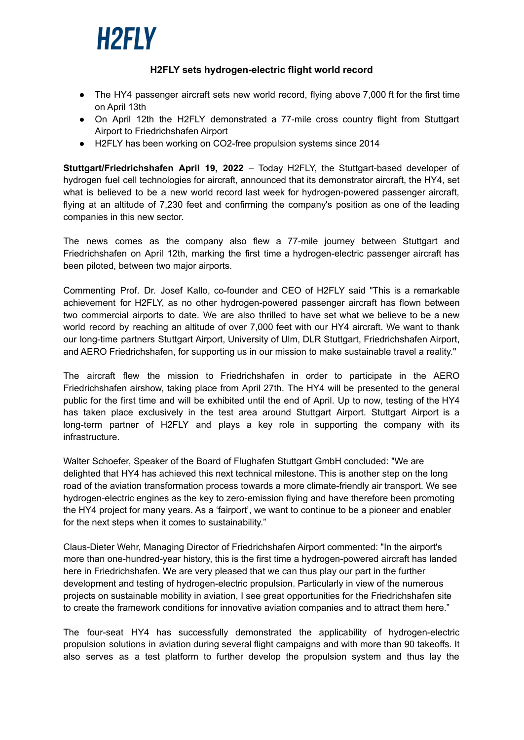

## **H2FLY sets hydrogen-electric flight world record**

- The HY4 passenger aircraft sets new world record, flying above 7,000 ft for the first time on April 13th
- On April 12th the H2FLY demonstrated a 77-mile cross country flight from Stuttgart Airport to Friedrichshafen Airport
- H2FLY has been working on CO2-free propulsion systems since 2014

**Stuttgart/Friedrichshafen April 19, 2022** – Today H2FLY, the Stuttgart-based developer of hydrogen fuel cell technologies for aircraft, announced that its demonstrator aircraft, the HY4, set what is believed to be a new world record last week for hydrogen-powered passenger aircraft, flying at an altitude of 7,230 feet and confirming the company's position as one of the leading companies in this new sector.

The news comes as the company also flew a 77-mile journey between Stuttgart and Friedrichshafen on April 12th, marking the first time a hydrogen-electric passenger aircraft has been piloted, between two major airports.

Commenting Prof. Dr. Josef Kallo, co-founder and CEO of H2FLY said "This is a remarkable achievement for H2FLY, as no other hydrogen-powered passenger aircraft has flown between two commercial airports to date. We are also thrilled to have set what we believe to be a new world record by reaching an altitude of over 7,000 feet with our HY4 aircraft. We want to thank our long-time partners Stuttgart Airport, University of Ulm, DLR Stuttgart, Friedrichshafen Airport, and AERO Friedrichshafen, for supporting us in our mission to make sustainable travel a reality."

The aircraft flew the mission to Friedrichshafen in order to participate in the AERO Friedrichshafen airshow, taking place from April 27th. The HY4 will be presented to the general public for the first time and will be exhibited until the end of April. Up to now, testing of the HY4 has taken place exclusively in the test area around Stuttgart Airport. Stuttgart Airport is a long-term partner of H2FLY and plays a key role in supporting the company with its infrastructure.

Walter Schoefer, Speaker of the Board of Flughafen Stuttgart GmbH concluded: "We are delighted that HY4 has achieved this next technical milestone. This is another step on the long road of the aviation transformation process towards a more climate-friendly air transport. We see hydrogen-electric engines as the key to zero-emission flying and have therefore been promoting the HY4 project for many years. As a 'fairport', we want to continue to be a pioneer and enabler for the next steps when it comes to sustainability."

Claus-Dieter Wehr, Managing Director of Friedrichshafen Airport commented: "In the airport's more than one-hundred-year history, this is the first time a hydrogen-powered aircraft has landed here in Friedrichshafen. We are very pleased that we can thus play our part in the further development and testing of hydrogen-electric propulsion. Particularly in view of the numerous projects on sustainable mobility in aviation, I see great opportunities for the Friedrichshafen site to create the framework conditions for innovative aviation companies and to attract them here."

The four-seat HY4 has successfully demonstrated the applicability of hydrogen-electric propulsion solutions in aviation during several flight campaigns and with more than 90 takeoffs. It also serves as a test platform to further develop the propulsion system and thus lay the